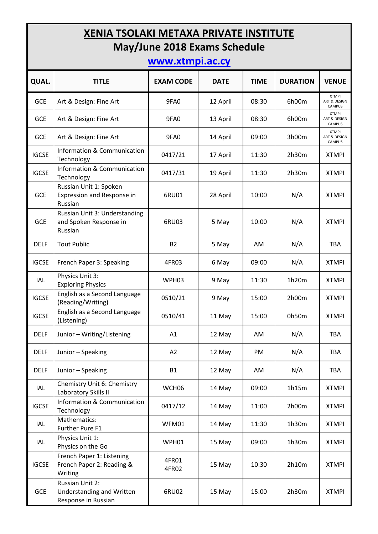# **XENIA TSOLAKI METAXA PRIVATE INSTITUTE May/June 2018 Exams Schedule**

## **[www.xtmpi.ac.cy](http://www.xtmpi.ac.cy/)**

| QUAL.        | <b>TITLE</b>                                                        | <b>EXAM CODE</b> | <b>DATE</b> | <b>TIME</b> | <b>DURATION</b> | <b>VENUE</b>                                  |
|--------------|---------------------------------------------------------------------|------------------|-------------|-------------|-----------------|-----------------------------------------------|
| GCE          | Art & Design: Fine Art                                              | 9FA0             | 12 April    | 08:30       | 6h00m           | <b>XTMPI</b><br>ART & DESIGN<br>CAMPUS        |
| <b>GCE</b>   | Art & Design: Fine Art                                              | 9FA0             | 13 April    | 08:30       | 6h00m           | <b>XTMPI</b><br>ART & DESIGN<br><b>CAMPUS</b> |
| <b>GCE</b>   | Art & Design: Fine Art                                              | 9FA0             | 14 April    | 09:00       | 3h00m           | <b>XTMPI</b><br>ART & DESIGN<br><b>CAMPUS</b> |
| <b>IGCSE</b> | Information & Communication<br>Technology                           | 0417/21          | 17 April    | 11:30       | 2h30m           | <b>XTMPI</b>                                  |
| <b>IGCSE</b> | Information & Communication<br>Technology                           | 0417/31          | 19 April    | 11:30       | 2h30m           | <b>XTMPI</b>                                  |
| GCE          | Russian Unit 1: Spoken<br>Expression and Response in<br>Russian     | 6RU01            | 28 April    | 10:00       | N/A             | <b>XTMPI</b>                                  |
| <b>GCE</b>   | Russian Unit 3: Understanding<br>and Spoken Response in<br>Russian  | 6RU03            | 5 May       | 10:00       | N/A             | <b>XTMPI</b>                                  |
| <b>DELF</b>  | <b>Tout Public</b>                                                  | <b>B2</b>        | 5 May       | AM          | N/A             | <b>TBA</b>                                    |
| <b>IGCSE</b> | French Paper 3: Speaking                                            | 4FR03            | 6 May       | 09:00       | N/A             | <b>XTMPI</b>                                  |
| IAL          | Physics Unit 3:<br><b>Exploring Physics</b>                         | WPH03            | 9 May       | 11:30       | 1h20m           | <b>XTMPI</b>                                  |
| <b>IGCSE</b> | English as a Second Language<br>(Reading/Writing)                   | 0510/21          | 9 May       | 15:00       | 2h00m           | <b>XTMPI</b>                                  |
| <b>IGCSE</b> | English as a Second Language<br>(Listening)                         | 0510/41          | 11 May      | 15:00       | 0h50m           | <b>XTMPI</b>                                  |
| <b>DELF</b>  | Junior - Writing/Listening                                          | A1               | 12 May      | AM          | N/A             | <b>TBA</b>                                    |
| <b>DELF</b>  | Junior - Speaking                                                   | A2               | 12 May      | PM          | N/A             | <b>TBA</b>                                    |
| <b>DELF</b>  | Junior - Speaking                                                   | <b>B1</b>        | 12 May      | AM          | N/A             | TBA                                           |
| IAL          | Chemistry Unit 6: Chemistry<br>Laboratory Skills II                 | WCH06            | 14 May      | 09:00       | 1h15m           | <b>XTMPI</b>                                  |
| <b>IGCSE</b> | <b>Information &amp; Communication</b><br>Technology                | 0417/12          | 14 May      | 11:00       | 2h00m           | <b>XTMPI</b>                                  |
| IAL          | Mathematics:<br>Further Pure F1                                     | WFM01            | 14 May      | 11:30       | 1h30m           | <b>XTMPI</b>                                  |
| IAL          | Physics Unit 1:<br>Physics on the Go                                | WPH01            | 15 May      | 09:00       | 1h30m           | <b>XTMPI</b>                                  |
| <b>IGCSE</b> | French Paper 1: Listening<br>French Paper 2: Reading &<br>Writing   | 4FR01<br>4FR02   | 15 May      | 10:30       | 2h10m           | <b>XTMPI</b>                                  |
| <b>GCE</b>   | Russian Unit 2:<br>Understanding and Written<br>Response in Russian | 6RU02            | 15 May      | 15:00       | 2h30m           | <b>XTMPI</b>                                  |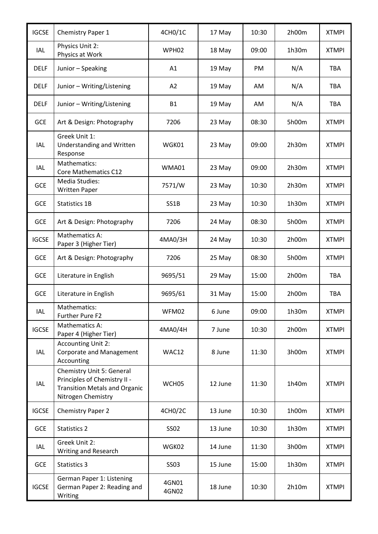| <b>IGCSE</b> | <b>Chemistry Paper 1</b>                                                                                                | 4CH0/1C        | 17 May  | 10:30 | 2h00m | <b>XTMPI</b> |
|--------------|-------------------------------------------------------------------------------------------------------------------------|----------------|---------|-------|-------|--------------|
| <b>IAL</b>   | Physics Unit 2:<br>Physics at Work                                                                                      | WPH02          | 18 May  | 09:00 | 1h30m | <b>XTMPI</b> |
| <b>DELF</b>  | Junior - Speaking                                                                                                       | A1             | 19 May  | PM    | N/A   | <b>TBA</b>   |
| <b>DELF</b>  | Junior - Writing/Listening                                                                                              | A2             | 19 May  | AM    | N/A   | <b>TBA</b>   |
| <b>DELF</b>  | Junior - Writing/Listening                                                                                              | <b>B1</b>      | 19 May  | AM    | N/A   | <b>TBA</b>   |
| <b>GCE</b>   | Art & Design: Photography                                                                                               | 7206           | 23 May  | 08:30 | 5h00m | <b>XTMPI</b> |
| IAL          | Greek Unit 1:<br>Understanding and Written<br>Response                                                                  | WGK01          | 23 May  | 09:00 | 2h30m | <b>XTMPI</b> |
| IAL          | Mathematics:<br>Core Mathematics C12                                                                                    | WMA01          | 23 May  | 09:00 | 2h30m | <b>XTMPI</b> |
| <b>GCE</b>   | Media Studies:<br><b>Written Paper</b>                                                                                  | 7571/W         | 23 May  | 10:30 | 2h30m | <b>XTMPI</b> |
| GCE          | <b>Statistics 1B</b>                                                                                                    | SS1B           | 23 May  | 10:30 | 1h30m | <b>XTMPI</b> |
| GCE          | Art & Design: Photography                                                                                               | 7206           | 24 May  | 08:30 | 5h00m | <b>XTMPI</b> |
| <b>IGCSE</b> | Mathematics A:<br>Paper 3 (Higher Tier)                                                                                 | 4MA0/3H        | 24 May  | 10:30 | 2h00m | <b>XTMPI</b> |
| <b>GCE</b>   | Art & Design: Photography                                                                                               | 7206           | 25 May  | 08:30 | 5h00m | <b>XTMPI</b> |
| <b>GCE</b>   | Literature in English                                                                                                   | 9695/51        | 29 May  | 15:00 | 2h00m | <b>TBA</b>   |
| <b>GCE</b>   | Literature in English                                                                                                   | 9695/61        | 31 May  | 15:00 | 2h00m | <b>TBA</b>   |
| IAL          | Mathematics:<br>Further Pure F2                                                                                         | WFM02          | 6 June  | 09:00 | 1h30m | <b>XTMPI</b> |
| <b>IGCSE</b> | Mathematics A:<br>Paper 4 (Higher Tier)                                                                                 | 4MA0/4H        | 7 June  | 10:30 | 2h00m | <b>XTMPI</b> |
| IAL          | <b>Accounting Unit 2:</b><br><b>Corporate and Management</b><br>Accounting                                              | WAC12          | 8 June  | 11:30 | 3h00m | <b>XTMPI</b> |
| IAL          | Chemistry Unit 5: General<br>Principles of Chemistry II -<br><b>Transition Metals and Organic</b><br>Nitrogen Chemistry | WCH05          | 12 June | 11:30 | 1h40m | <b>XTMPI</b> |
| <b>IGCSE</b> | <b>Chemistry Paper 2</b>                                                                                                | 4CH0/2C        | 13 June | 10:30 | 1h00m | <b>XTMPI</b> |
| <b>GCE</b>   | Statistics 2                                                                                                            | <b>SS02</b>    | 13 June | 10:30 | 1h30m | <b>XTMPI</b> |
| IAL          | Greek Unit 2:<br>Writing and Research                                                                                   | WGK02          | 14 June | 11:30 | 3h00m | <b>XTMPI</b> |
| <b>GCE</b>   | Statistics 3                                                                                                            | <b>SS03</b>    | 15 June | 15:00 | 1h30m | <b>XTMPI</b> |
| <b>IGCSE</b> | German Paper 1: Listening<br>German Paper 2: Reading and<br>Writing                                                     | 4GN01<br>4GN02 | 18 June | 10:30 | 2h10m | <b>XTMPI</b> |